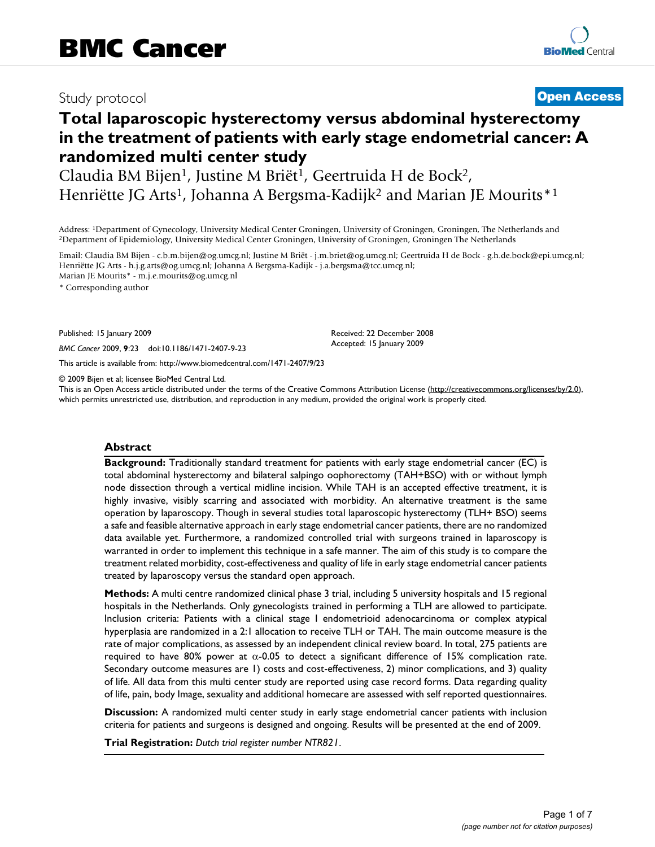# Study protocol **[Open Access](http://www.biomedcentral.com/info/about/charter/)**

# **Total laparoscopic hysterectomy versus abdominal hysterectomy in the treatment of patients with early stage endometrial cancer: A randomized multi center study**

Claudia BM Bijen<sup>1</sup>, Justine M Briët<sup>1</sup>, Geertruida H de Bock<sup>2</sup>, Henriëtte JG Arts<sup>1</sup>, Johanna A Bergsma-Kadijk<sup>2</sup> and Marian JE Mourits<sup>\*1</sup>

Address: <sup>1</sup>Department of Gynecology, University Medical Center Groningen, University of Groningen, Groningen, The Netherlands and <sup>2</sup>Department of Epidemiology, University Medical Center Groningen, University of Groningen

Email: Claudia BM Bijen - c.b.m.bijen@og.umcg.nl; Justine M Briët - j.m.briet@og.umcg.nl; Geertruida H de Bock - g.h.de.bock@epi.umcg.nl; Henriëtte JG Arts - h.j.g.arts@og.umcg.nl; Johanna A Bergsma-Kadijk - j.a.bergsma@tcc.umcg.nl; Marian JE Mourits\* - m.j.e.mourits@og.umcg.nl

\* Corresponding author

Published: 15 January 2009

*BMC Cancer* 2009, **9**:23 doi:10.1186/1471-2407-9-23

[This article is available from: http://www.biomedcentral.com/1471-2407/9/23](http://www.biomedcentral.com/1471-2407/9/23)

© 2009 Bijen et al; licensee BioMed Central Ltd.

This is an Open Access article distributed under the terms of the Creative Commons Attribution License [\(http://creativecommons.org/licenses/by/2.0\)](http://creativecommons.org/licenses/by/2.0), which permits unrestricted use, distribution, and reproduction in any medium, provided the original work is properly cited.

Received: 22 December 2008 Accepted: 15 January 2009

#### **Abstract**

**Background:** Traditionally standard treatment for patients with early stage endometrial cancer (EC) is total abdominal hysterectomy and bilateral salpingo oophorectomy (TAH+BSO) with or without lymph node dissection through a vertical midline incision. While TAH is an accepted effective treatment, it is highly invasive, visibly scarring and associated with morbidity. An alternative treatment is the same operation by laparoscopy. Though in several studies total laparoscopic hysterectomy (TLH+ BSO) seems a safe and feasible alternative approach in early stage endometrial cancer patients, there are no randomized data available yet. Furthermore, a randomized controlled trial with surgeons trained in laparoscopy is warranted in order to implement this technique in a safe manner. The aim of this study is to compare the treatment related morbidity, cost-effectiveness and quality of life in early stage endometrial cancer patients treated by laparoscopy versus the standard open approach.

**Methods:** A multi centre randomized clinical phase 3 trial, including 5 university hospitals and 15 regional hospitals in the Netherlands. Only gynecologists trained in performing a TLH are allowed to participate. Inclusion criteria: Patients with a clinical stage I endometrioid adenocarcinoma or complex atypical hyperplasia are randomized in a 2:1 allocation to receive TLH or TAH. The main outcome measure is the rate of major complications, as assessed by an independent clinical review board. In total, 275 patients are required to have 80% power at  $α$ -0.05 to detect a significant difference of 15% complication rate. Secondary outcome measures are 1) costs and cost-effectiveness, 2) minor complications, and 3) quality of life. All data from this multi center study are reported using case record forms. Data regarding quality of life, pain, body Image, sexuality and additional homecare are assessed with self reported questionnaires.

**Discussion:** A randomized multi center study in early stage endometrial cancer patients with inclusion criteria for patients and surgeons is designed and ongoing. Results will be presented at the end of 2009.

**Trial Registration:** *Dutch trial register number NTR821*.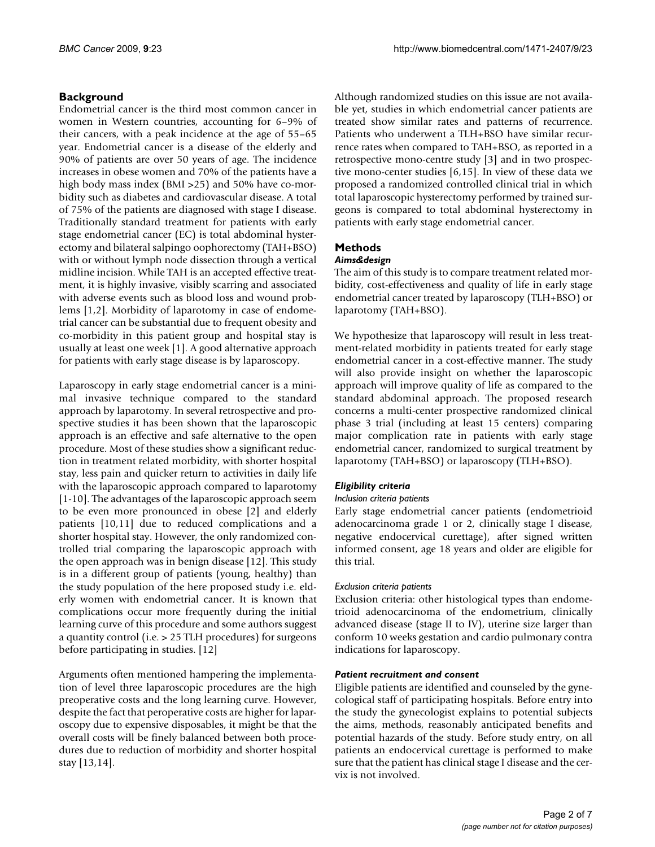# **Background**

Endometrial cancer is the third most common cancer in women in Western countries, accounting for 6–9% of their cancers, with a peak incidence at the age of 55–65 year. Endometrial cancer is a disease of the elderly and 90% of patients are over 50 years of age. The incidence increases in obese women and 70% of the patients have a high body mass index (BMI > 25) and 50% have co-morbidity such as diabetes and cardiovascular disease. A total of 75% of the patients are diagnosed with stage I disease. Traditionally standard treatment for patients with early stage endometrial cancer (EC) is total abdominal hysterectomy and bilateral salpingo oophorectomy (TAH+BSO) with or without lymph node dissection through a vertical midline incision. While TAH is an accepted effective treatment, it is highly invasive, visibly scarring and associated with adverse events such as blood loss and wound problems [1,2]. Morbidity of laparotomy in case of endometrial cancer can be substantial due to frequent obesity and co-morbidity in this patient group and hospital stay is usually at least one week [1]. A good alternative approach for patients with early stage disease is by laparoscopy.

Laparoscopy in early stage endometrial cancer is a minimal invasive technique compared to the standard approach by laparotomy. In several retrospective and prospective studies it has been shown that the laparoscopic approach is an effective and safe alternative to the open procedure. Most of these studies show a significant reduction in treatment related morbidity, with shorter hospital stay, less pain and quicker return to activities in daily life with the laparoscopic approach compared to laparotomy [1-10]. The advantages of the laparoscopic approach seem to be even more pronounced in obese [2] and elderly patients [10,11] due to reduced complications and a shorter hospital stay. However, the only randomized controlled trial comparing the laparoscopic approach with the open approach was in benign disease [12]. This study is in a different group of patients (young, healthy) than the study population of the here proposed study i.e. elderly women with endometrial cancer. It is known that complications occur more frequently during the initial learning curve of this procedure and some authors suggest a quantity control (i.e. > 25 TLH procedures) for surgeons before participating in studies. [12]

Arguments often mentioned hampering the implementation of level three laparoscopic procedures are the high preoperative costs and the long learning curve. However, despite the fact that peroperative costs are higher for laparoscopy due to expensive disposables, it might be that the overall costs will be finely balanced between both procedures due to reduction of morbidity and shorter hospital stay [13,14].

Although randomized studies on this issue are not available yet, studies in which endometrial cancer patients are treated show similar rates and patterns of recurrence. Patients who underwent a TLH+BSO have similar recurrence rates when compared to TAH+BSO, as reported in a retrospective mono-centre study [3] and in two prospective mono-center studies [6,15]. In view of these data we proposed a randomized controlled clinical trial in which total laparoscopic hysterectomy performed by trained surgeons is compared to total abdominal hysterectomy in patients with early stage endometrial cancer.

# **Methods**

# *Aims&design*

The aim of this study is to compare treatment related morbidity, cost-effectiveness and quality of life in early stage endometrial cancer treated by laparoscopy (TLH+BSO) or laparotomy (TAH+BSO).

We hypothesize that laparoscopy will result in less treatment-related morbidity in patients treated for early stage endometrial cancer in a cost-effective manner. The study will also provide insight on whether the laparoscopic approach will improve quality of life as compared to the standard abdominal approach. The proposed research concerns a multi-center prospective randomized clinical phase 3 trial (including at least 15 centers) comparing major complication rate in patients with early stage endometrial cancer, randomized to surgical treatment by laparotomy (TAH+BSO) or laparoscopy (TLH+BSO).

# *Eligibility criteria*

# *Inclusion criteria patients*

Early stage endometrial cancer patients (endometrioid adenocarcinoma grade 1 or 2, clinically stage I disease, negative endocervical curettage), after signed written informed consent, age 18 years and older are eligible for this trial.

# *Exclusion criteria patients*

Exclusion criteria: other histological types than endometrioid adenocarcinoma of the endometrium, clinically advanced disease (stage II to IV), uterine size larger than conform 10 weeks gestation and cardio pulmonary contra indications for laparoscopy.

## *Patient recruitment and consent*

Eligible patients are identified and counseled by the gynecological staff of participating hospitals. Before entry into the study the gynecologist explains to potential subjects the aims, methods, reasonably anticipated benefits and potential hazards of the study. Before study entry, on all patients an endocervical curettage is performed to make sure that the patient has clinical stage I disease and the cervix is not involved.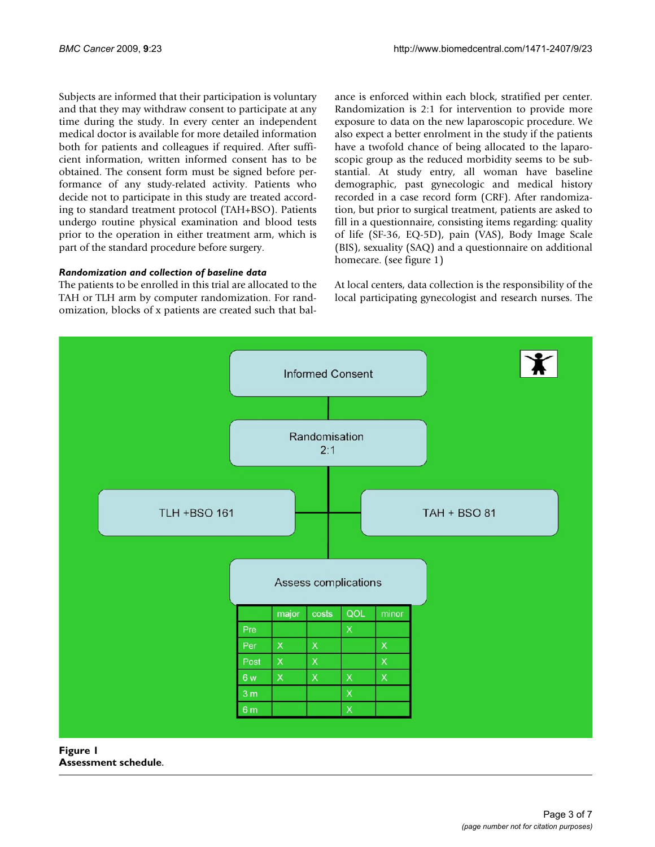Subjects are informed that their participation is voluntary and that they may withdraw consent to participate at any time during the study. In every center an independent medical doctor is available for more detailed information both for patients and colleagues if required. After sufficient information, written informed consent has to be obtained. The consent form must be signed before performance of any study-related activity. Patients who decide not to participate in this study are treated according to standard treatment protocol (TAH+BSO). Patients undergo routine physical examination and blood tests prior to the operation in either treatment arm, which is part of the standard procedure before surgery.

## *Randomization and collection of baseline data*

The patients to be enrolled in this trial are allocated to the TAH or TLH arm by computer randomization. For randomization, blocks of x patients are created such that balance is enforced within each block, stratified per center. Randomization is 2:1 for intervention to provide more exposure to data on the new laparoscopic procedure. We also expect a better enrolment in the study if the patients have a twofold chance of being allocated to the laparoscopic group as the reduced morbidity seems to be substantial. At study entry, all woman have baseline demographic, past gynecologic and medical history recorded in a case record form (CRF). After randomization, but prior to surgical treatment, patients are asked to fill in a questionnaire, consisting items regarding: quality of life (SF-36, EQ-5D), pain (VAS), Body Image Scale (BIS), sexuality (SAQ) and a questionnaire on additional homecare. (see figure 1)

At local centers, data collection is the responsibility of the local participating gynecologist and research nurses. The



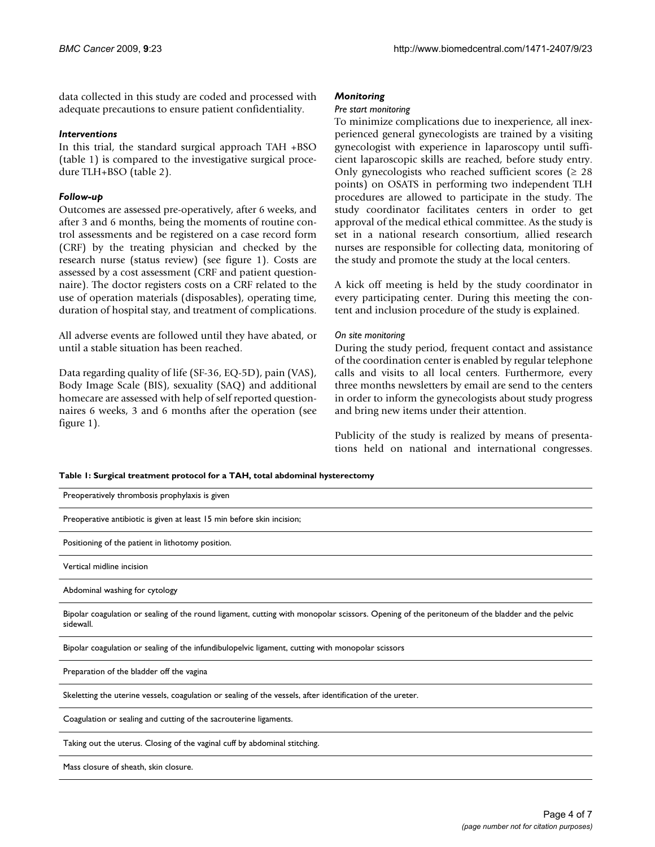data collected in this study are coded and processed with adequate precautions to ensure patient confidentiality.

#### *Interventions*

In this trial, the standard surgical approach TAH +BSO (table 1) is compared to the investigative surgical procedure TLH+BSO (table 2).

# *Follow-up*

Outcomes are assessed pre-operatively, after 6 weeks, and after 3 and 6 months, being the moments of routine control assessments and be registered on a case record form (CRF) by the treating physician and checked by the research nurse (status review) (see figure 1). Costs are assessed by a cost assessment (CRF and patient questionnaire). The doctor registers costs on a CRF related to the use of operation materials (disposables), operating time, duration of hospital stay, and treatment of complications.

All adverse events are followed until they have abated, or until a stable situation has been reached.

Data regarding quality of life (SF-36, EQ-5D), pain (VAS), Body Image Scale (BIS), sexuality (SAQ) and additional homecare are assessed with help of self reported questionnaires 6 weeks, 3 and 6 months after the operation (see figure 1).

# *Monitoring*

### *Pre start monitoring*

To minimize complications due to inexperience, all inexperienced general gynecologists are trained by a visiting gynecologist with experience in laparoscopy until sufficient laparoscopic skills are reached, before study entry. Only gynecologists who reached sufficient scores ( $\geq 28$ points) on OSATS in performing two independent TLH procedures are allowed to participate in the study. The study coordinator facilitates centers in order to get approval of the medical ethical committee. As the study is set in a national research consortium, allied research nurses are responsible for collecting data, monitoring of the study and promote the study at the local centers.

A kick off meeting is held by the study coordinator in every participating center. During this meeting the content and inclusion procedure of the study is explained.

# *On site monitoring*

During the study period, frequent contact and assistance of the coordination center is enabled by regular telephone calls and visits to all local centers. Furthermore, every three months newsletters by email are send to the centers in order to inform the gynecologists about study progress and bring new items under their attention.

Publicity of the study is realized by means of presentations held on national and international congresses.

**Table 1: Surgical treatment protocol for a TAH, total abdominal hysterectomy**

| Preoperatively thrombosis prophylaxis is given                                                                                                              |
|-------------------------------------------------------------------------------------------------------------------------------------------------------------|
| Preoperative antibiotic is given at least 15 min before skin incision;                                                                                      |
| Positioning of the patient in lithotomy position.                                                                                                           |
| Vertical midline incision                                                                                                                                   |
| Abdominal washing for cytology                                                                                                                              |
| Bipolar coagulation or sealing of the round ligament, cutting with monopolar scissors. Opening of the peritoneum of the bladder and the pelvic<br>sidewall. |
| Bipolar coagulation or sealing of the infundibulopelvic ligament, cutting with monopolar scissors                                                           |
| Preparation of the bladder off the vagina                                                                                                                   |
| Skeletting the uterine vessels, coagulation or sealing of the vessels, after identification of the ureter.                                                  |
| Coagulation or sealing and cutting of the sacrouterine ligaments.                                                                                           |
| Taking out the uterus. Closing of the vaginal cuff by abdominal stitching.                                                                                  |
| Mass closure of sheath, skin closure.                                                                                                                       |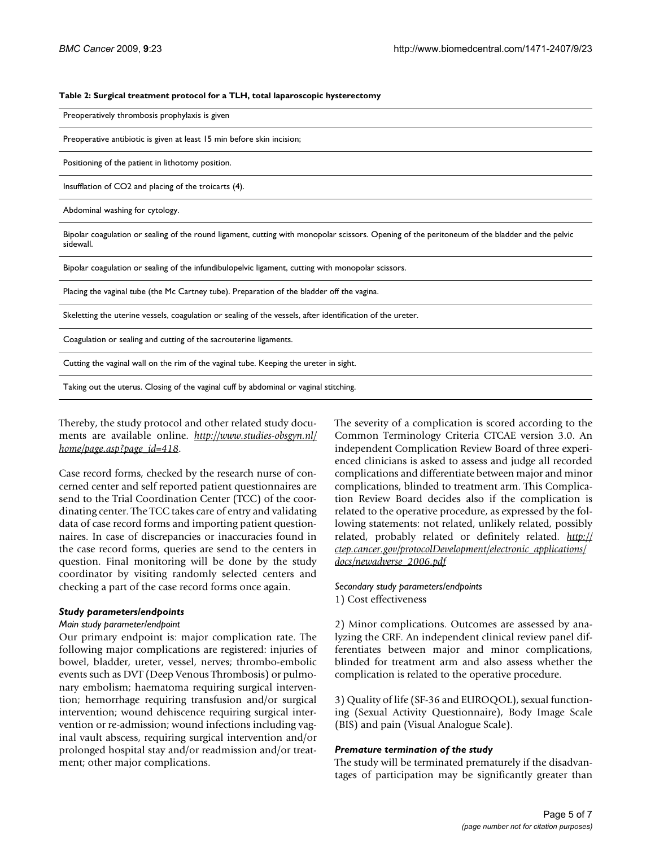#### **Table 2: Surgical treatment protocol for a TLH, total laparoscopic hysterectomy**

Preoperatively thrombosis prophylaxis is given

Preoperative antibiotic is given at least 15 min before skin incision;

Positioning of the patient in lithotomy position.

Insufflation of CO2 and placing of the troicarts (4).

Abdominal washing for cytology.

Bipolar coagulation or sealing of the round ligament, cutting with monopolar scissors. Opening of the peritoneum of the bladder and the pelvic sidewall.

Bipolar coagulation or sealing of the infundibulopelvic ligament, cutting with monopolar scissors.

Placing the vaginal tube (the Mc Cartney tube). Preparation of the bladder off the vagina.

Skeletting the uterine vessels, coagulation or sealing of the vessels, after identification of the ureter.

Coagulation or sealing and cutting of the sacrouterine ligaments.

Cutting the vaginal wall on the rim of the vaginal tube. Keeping the ureter in sight.

Taking out the uterus. Closing of the vaginal cuff by abdominal or vaginal stitching.

Thereby, the study protocol and other related study documents are available online. *[http://www.studies-obsgyn.nl/](http://www.studies-obsgyn.nl/home/page.asp?page_id=418) [home/page.asp?page\\_id=418](http://www.studies-obsgyn.nl/home/page.asp?page_id=418)*.

Case record forms, checked by the research nurse of concerned center and self reported patient questionnaires are send to the Trial Coordination Center (TCC) of the coordinating center. The TCC takes care of entry and validating data of case record forms and importing patient questionnaires. In case of discrepancies or inaccuracies found in the case record forms, queries are send to the centers in question. Final monitoring will be done by the study coordinator by visiting randomly selected centers and checking a part of the case record forms once again.

#### *Study parameters/endpoints*

#### *Main study parameter/endpoint*

Our primary endpoint is: major complication rate. The following major complications are registered: injuries of bowel, bladder, ureter, vessel, nerves; thrombo-embolic events such as DVT (Deep Venous Thrombosis) or pulmonary embolism; haematoma requiring surgical intervention; hemorrhage requiring transfusion and/or surgical intervention; wound dehiscence requiring surgical intervention or re-admission; wound infections including vaginal vault abscess, requiring surgical intervention and/or prolonged hospital stay and/or readmission and/or treatment; other major complications.

The severity of a complication is scored according to the Common Terminology Criteria CTCAE version 3.0. An independent Complication Review Board of three experienced clinicians is asked to assess and judge all recorded complications and differentiate between major and minor complications, blinded to treatment arm. This Complication Review Board decides also if the complication is related to the operative procedure, as expressed by the following statements: not related, unlikely related, possibly related, probably related or definitely related. *[http://](http://ctep.cancer.gov/protocolDevelopment/electronic_applications/docs/newadverse_2006.pdf) [ctep.cancer.gov/protocolDevelopment/electronic\\_applications/](http://ctep.cancer.gov/protocolDevelopment/electronic_applications/docs/newadverse_2006.pdf) [docs/newadverse\\_2006.pdf](http://ctep.cancer.gov/protocolDevelopment/electronic_applications/docs/newadverse_2006.pdf)*

#### *Secondary study parameters/endpoints* 1) Cost effectiveness

2) Minor complications. Outcomes are assessed by analyzing the CRF. An independent clinical review panel differentiates between major and minor complications, blinded for treatment arm and also assess whether the complication is related to the operative procedure.

3) Quality of life (SF-36 and EUROQOL), sexual functioning (Sexual Activity Questionnaire), Body Image Scale (BIS) and pain (Visual Analogue Scale).

#### *Premature termination of the study*

The study will be terminated prematurely if the disadvantages of participation may be significantly greater than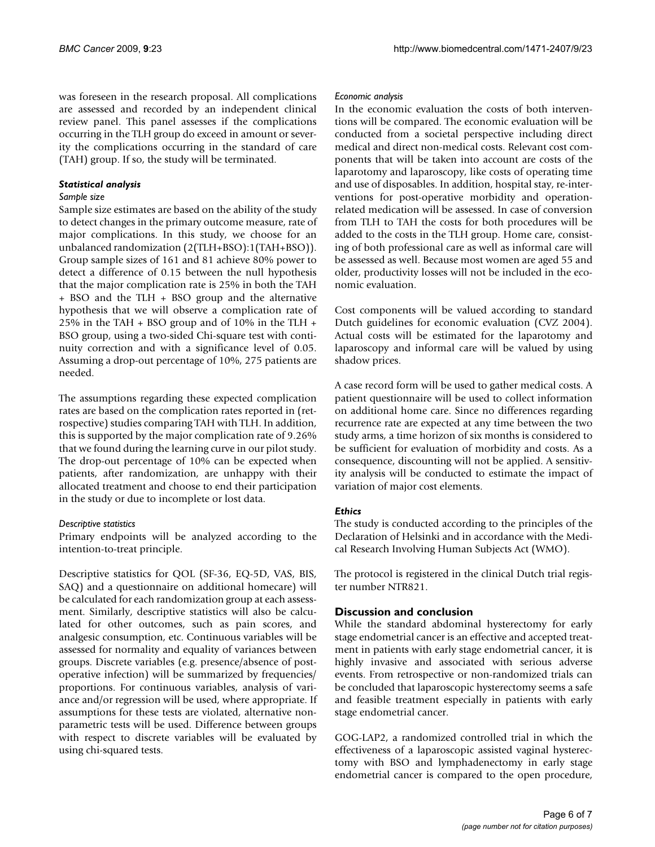was foreseen in the research proposal. All complications are assessed and recorded by an independent clinical review panel. This panel assesses if the complications occurring in the TLH group do exceed in amount or severity the complications occurring in the standard of care (TAH) group. If so, the study will be terminated.

# *Statistical analysis*

## *Sample size*

Sample size estimates are based on the ability of the study to detect changes in the primary outcome measure, rate of major complications. In this study, we choose for an unbalanced randomization (2(TLH+BSO):1(TAH+BSO)). Group sample sizes of 161 and 81 achieve 80% power to detect a difference of 0.15 between the null hypothesis that the major complication rate is 25% in both the TAH + BSO and the TLH + BSO group and the alternative hypothesis that we will observe a complication rate of 25% in the TAH + BSO group and of 10% in the TLH + BSO group, using a two-sided Chi-square test with continuity correction and with a significance level of 0.05. Assuming a drop-out percentage of 10%, 275 patients are needed.

The assumptions regarding these expected complication rates are based on the complication rates reported in (retrospective) studies comparing TAH with TLH. In addition, this is supported by the major complication rate of 9.26% that we found during the learning curve in our pilot study. The drop-out percentage of 10% can be expected when patients, after randomization, are unhappy with their allocated treatment and choose to end their participation in the study or due to incomplete or lost data.

# *Descriptive statistics*

Primary endpoints will be analyzed according to the intention-to-treat principle.

Descriptive statistics for QOL (SF-36, EQ-5D, VAS, BIS, SAQ) and a questionnaire on additional homecare) will be calculated for each randomization group at each assessment. Similarly, descriptive statistics will also be calculated for other outcomes, such as pain scores, and analgesic consumption, etc. Continuous variables will be assessed for normality and equality of variances between groups. Discrete variables (e.g. presence/absence of postoperative infection) will be summarized by frequencies/ proportions. For continuous variables, analysis of variance and/or regression will be used, where appropriate. If assumptions for these tests are violated, alternative nonparametric tests will be used. Difference between groups with respect to discrete variables will be evaluated by using chi-squared tests.

### *Economic analysis*

In the economic evaluation the costs of both interventions will be compared. The economic evaluation will be conducted from a societal perspective including direct medical and direct non-medical costs. Relevant cost components that will be taken into account are costs of the laparotomy and laparoscopy, like costs of operating time and use of disposables. In addition, hospital stay, re-interventions for post-operative morbidity and operationrelated medication will be assessed. In case of conversion from TLH to TAH the costs for both procedures will be added to the costs in the TLH group. Home care, consisting of both professional care as well as informal care will be assessed as well. Because most women are aged 55 and older, productivity losses will not be included in the economic evaluation.

Cost components will be valued according to standard Dutch guidelines for economic evaluation (CVZ 2004). Actual costs will be estimated for the laparotomy and laparoscopy and informal care will be valued by using shadow prices.

A case record form will be used to gather medical costs. A patient questionnaire will be used to collect information on additional home care. Since no differences regarding recurrence rate are expected at any time between the two study arms, a time horizon of six months is considered to be sufficient for evaluation of morbidity and costs. As a consequence, discounting will not be applied. A sensitivity analysis will be conducted to estimate the impact of variation of major cost elements.

# *Ethics*

The study is conducted according to the principles of the Declaration of Helsinki and in accordance with the Medical Research Involving Human Subjects Act (WMO).

The protocol is registered in the clinical Dutch trial register number NTR821.

# **Discussion and conclusion**

While the standard abdominal hysterectomy for early stage endometrial cancer is an effective and accepted treatment in patients with early stage endometrial cancer, it is highly invasive and associated with serious adverse events. From retrospective or non-randomized trials can be concluded that laparoscopic hysterectomy seems a safe and feasible treatment especially in patients with early stage endometrial cancer.

GOG-LAP2, a randomized controlled trial in which the effectiveness of a laparoscopic assisted vaginal hysterectomy with BSO and lymphadenectomy in early stage endometrial cancer is compared to the open procedure,